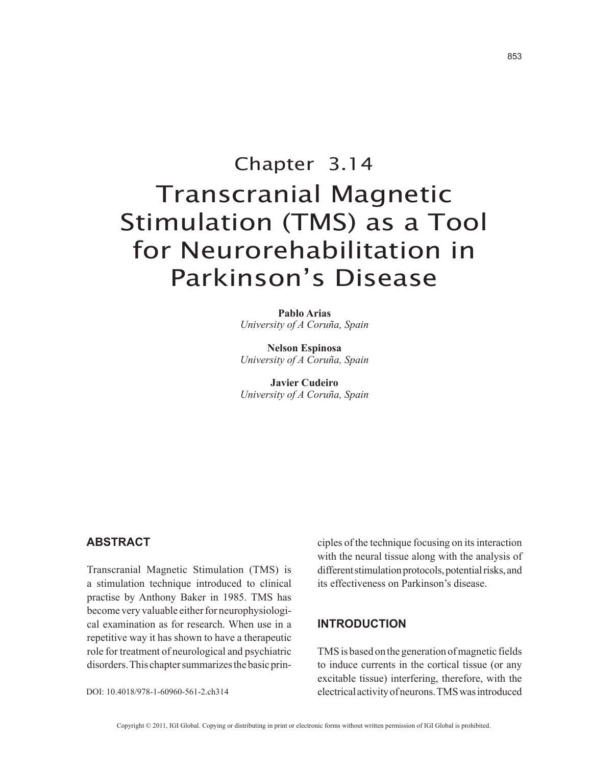# Chapter 3.14 Transcranial Magnetic Stimulation (TMS) as a Tool for Neurorehabilitation in Parkinson's Disease

**Pablo Arias** *University of A Coruña, Spain*

**Nelson Espinosa** *University of A Coruña, Spain*

**Javier Cudeiro** *University of A Coruña, Spain*

## **AbstrAct**

Transcranial Magnetic Stimulation (TMS) is a stimulation technique introduced to clinical practise by Anthony Baker in 1985. TMS has become very valuable either for neurophysiological examination as for research. When use in a repetitive way it has shown to have a therapeutic role for treatment of neurological and psychiatric disorders. This chapter summarizes the basic prin-

DOI: 10.4018/978-1-60960-561-2.ch314

ciples of the technique focusing on its interaction with the neural tissue along with the analysis of different stimulation protocols, potential risks, and its effectiveness on Parkinson's disease.

## **IntroductIon**

TMS is based on the generation of magnetic fields to induce currents in the cortical tissue (or any excitable tissue) interfering, therefore, with the electrical activity of neurons. TMS was introduced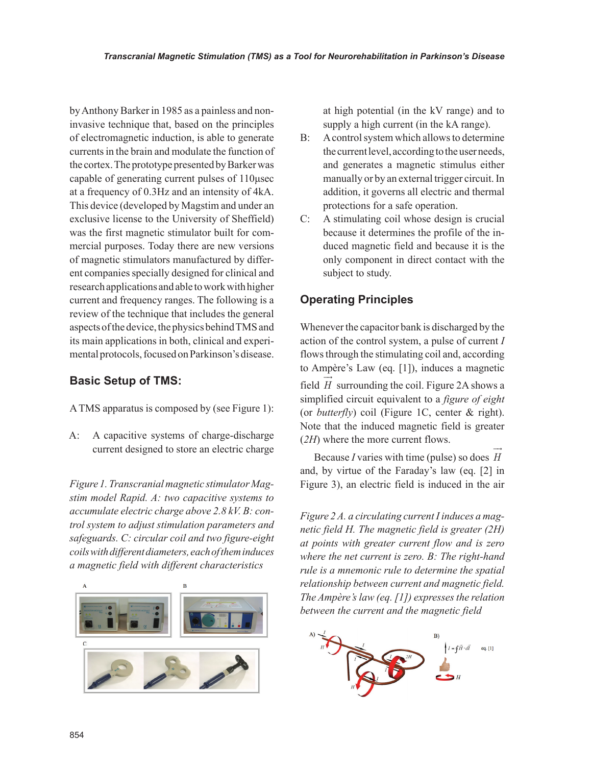by Anthony Barker in 1985 as a painless and noninvasive technique that, based on the principles of electromagnetic induction, is able to generate currents in the brain and modulate the function of the cortex. The prototype presented by Barker was capable of generating current pulses of 110μsec at a frequency of 0.3Hz and an intensity of 4kA. This device (developed by Magstim and under an exclusive license to the University of Sheffield) was the first magnetic stimulator built for commercial purposes. Today there are new versions of magnetic stimulators manufactured by different companies specially designed for clinical and research applications and able to work with higher current and frequency ranges. The following is a review of the technique that includes the general aspects of the device, the physics behind TMS and its main applications in both, clinical and experimental protocols, focused on Parkinson's disease.

## **basic Setup of TMS:**

A TMS apparatus is composed by (see Figure 1):

A: A capacitive systems of charge-discharge current designed to store an electric charge

*stim model Rapid. A: two capacitive systems to accumulate electric charge above 2.8 kV. B: control system to adjust stimulation parameters and safeguards. C: circular coil and two figure-eight coils with different diameters, each of them induces a magnetic field with different characteristics*



at high potential (in the kV range) and to supply a high current (in the kA range).

- B: A control system which allows to determine the current level, according to the user needs, and generates a magnetic stimulus either manually or by an external trigger circuit. In addition, it governs all electric and thermal protections for a safe operation.
- C: A stimulating coil whose design is crucial because it determines the profile of the induced magnetic field and because it is the only component in direct contact with the subject to study.

# **operating Principles**

Whenever the capacitor bank is discharged by the action of the control system, a pulse of current *I* flows through the stimulating coil and, according to Ampère's Law (eq. [1]), induces a magnetic field *H* surrounding the coil. Figure 2A shows a simplified circuit equivalent to a *figure of eight* (or *butterfly*) coil (Figure 1C, center & right). Note that the induced magnetic field is greater (*2H*) where the more current flows.  $\rightarrow$ 

Because *I* varies with time (pulse) so does *H* and, by virtue of the Faraday's law (eq. [2] in *Figure 1. Transcranial magnetic stimulator Mag-* Figure 3), an electric field is induced in the air

> *Figure 2 A. a circulating current I induces a magnetic field H. The magnetic field is greater (2H) at points with greater current flow and is zero where the net current is zero. B: The right-hand rule is a mnemonic rule to determine the spatial relationship between current and magnetic field. The Ampère's law (eq. [1]) expresses the relation between the current and the magnetic field*